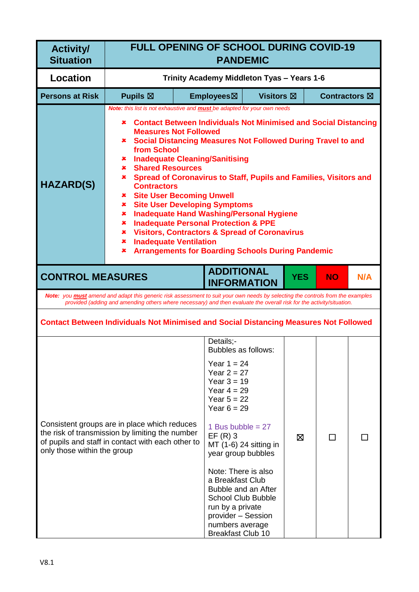| <b>Activity/</b><br><b>Situation</b> | <b>FULL OPENING OF SCHOOL DURING COVID-19</b><br><b>PANDEMIC</b>                                                                                                                                                                                                                                                                                                                                                                                                                                                                                                                                                                                                                                                                                                                                                                                                                     |                                            |                                                                                                                                                                                                                                                                                                                                                                                                                    |                   |            |                         |     |
|--------------------------------------|--------------------------------------------------------------------------------------------------------------------------------------------------------------------------------------------------------------------------------------------------------------------------------------------------------------------------------------------------------------------------------------------------------------------------------------------------------------------------------------------------------------------------------------------------------------------------------------------------------------------------------------------------------------------------------------------------------------------------------------------------------------------------------------------------------------------------------------------------------------------------------------|--------------------------------------------|--------------------------------------------------------------------------------------------------------------------------------------------------------------------------------------------------------------------------------------------------------------------------------------------------------------------------------------------------------------------------------------------------------------------|-------------------|------------|-------------------------|-----|
| <b>Location</b>                      |                                                                                                                                                                                                                                                                                                                                                                                                                                                                                                                                                                                                                                                                                                                                                                                                                                                                                      | Trinity Academy Middleton Tyas - Years 1-6 |                                                                                                                                                                                                                                                                                                                                                                                                                    |                   |            |                         |     |
| <b>Persons at Risk</b>               | Pupils $\boxtimes$                                                                                                                                                                                                                                                                                                                                                                                                                                                                                                                                                                                                                                                                                                                                                                                                                                                                   |                                            | Employees⊠                                                                                                                                                                                                                                                                                                                                                                                                         | <b>Visitors</b> ⊠ |            | Contractors $\boxtimes$ |     |
| <b>HAZARD(S)</b>                     | Note: this list is not exhaustive and <b>must</b> be adapted for your own needs<br><b>Contact Between Individuals Not Minimised and Social Distancing</b><br>×<br><b>Measures Not Followed</b><br><b>* Social Distancing Measures Not Followed During Travel to and</b><br>from School<br><b>*</b> Inadequate Cleaning/Sanitising<br><b>Shared Resources</b><br>$\mathbf x$ .<br>Spread of Coronavirus to Staff, Pupils and Families, Visitors and<br>×.<br><b>Contractors</b><br><b>* Site User Becoming Unwell</b><br><b>Site User Developing Symptoms</b><br>$\mathbf x$ .<br><b>Inadequate Hand Washing/Personal Hygiene</b><br>×.<br><b>Inadequate Personal Protection &amp; PPE</b><br>×.<br><b>Visitors, Contractors &amp; Spread of Coronavirus</b><br>$\pmb{\times}$<br><b>Inadequate Ventilation</b><br>×<br><b>Arrangements for Boarding Schools During Pandemic</b><br>× |                                            |                                                                                                                                                                                                                                                                                                                                                                                                                    |                   |            |                         |     |
| <b>CONTROL MEASURES</b>              |                                                                                                                                                                                                                                                                                                                                                                                                                                                                                                                                                                                                                                                                                                                                                                                                                                                                                      |                                            | <b>ADDITIONAL</b><br><b>INFORMATION</b>                                                                                                                                                                                                                                                                                                                                                                            |                   | <b>YES</b> | <b>NO</b>               | N/A |
|                                      | Note: you must amend and adapt this generic risk assessment to suit your own needs by selecting the controls from the examples<br>provided (adding and amending others where necessary) and then evaluate the overall risk for the activity/situation.                                                                                                                                                                                                                                                                                                                                                                                                                                                                                                                                                                                                                               |                                            |                                                                                                                                                                                                                                                                                                                                                                                                                    |                   |            |                         |     |
|                                      | <b>Contact Between Individuals Not Minimised and Social Distancing Measures Not Followed</b>                                                                                                                                                                                                                                                                                                                                                                                                                                                                                                                                                                                                                                                                                                                                                                                         |                                            |                                                                                                                                                                                                                                                                                                                                                                                                                    |                   |            |                         |     |
| only those within the group          | Consistent groups are in place which reduces<br>the risk of transmission by limiting the number<br>of pupils and staff in contact with each other to                                                                                                                                                                                                                                                                                                                                                                                                                                                                                                                                                                                                                                                                                                                                 |                                            | Details:-<br>Bubbles as follows:<br>Year $1 = 24$<br>Year $2 = 27$<br>Year $3 = 19$<br>Year $4 = 29$<br>Year $5 = 22$<br>Year $6 = 29$<br>1 Bus bubble = $27$<br>$EF(R)$ 3<br>MT (1-6) 24 sitting in<br>year group bubbles<br>Note: There is also<br>a Breakfast Club<br>Bubble and an After<br><b>School Club Bubble</b><br>run by a private<br>provider - Session<br>numbers average<br><b>Breakfast Club 10</b> |                   | ⊠          | $\Box$                  |     |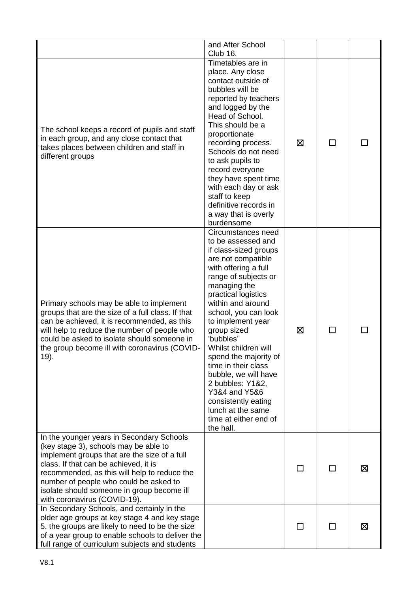|                                                                                                                                                                                                                                                                                                                                                     | and After School<br>Club 16.                                                                                                                                                                                                                                                                                                                                                                                                                                                                        |   |              |   |
|-----------------------------------------------------------------------------------------------------------------------------------------------------------------------------------------------------------------------------------------------------------------------------------------------------------------------------------------------------|-----------------------------------------------------------------------------------------------------------------------------------------------------------------------------------------------------------------------------------------------------------------------------------------------------------------------------------------------------------------------------------------------------------------------------------------------------------------------------------------------------|---|--------------|---|
| The school keeps a record of pupils and staff<br>in each group, and any close contact that<br>takes places between children and staff in<br>different groups                                                                                                                                                                                        | Timetables are in<br>place. Any close<br>contact outside of<br>bubbles will be<br>reported by teachers<br>and logged by the<br>Head of School.<br>This should be a<br>proportionate<br>recording process.<br>Schools do not need<br>to ask pupils to<br>record everyone<br>they have spent time<br>with each day or ask<br>staff to keep<br>definitive records in<br>a way that is overly<br>burdensome                                                                                             | ⊠ | П            |   |
| Primary schools may be able to implement<br>groups that are the size of a full class. If that<br>can be achieved, it is recommended, as this<br>will help to reduce the number of people who<br>could be asked to isolate should someone in<br>the group become ill with coronavirus (COVID-<br>19).                                                | Circumstances need<br>to be assessed and<br>if class-sized groups<br>are not compatible<br>with offering a full<br>range of subjects or<br>managing the<br>practical logistics<br>within and around<br>school, you can look<br>to implement year<br>group sized<br>'bubbles'<br>Whilst children will<br>spend the majority of<br>time in their class<br>bubble, we will have<br>2 bubbles: Y1&2,<br>Y3&4 and Y5&6<br>consistently eating<br>lunch at the same<br>time at either end of<br>the hall. | ⊠ |              |   |
| In the younger years in Secondary Schools<br>(key stage 3), schools may be able to<br>implement groups that are the size of a full<br>class. If that can be achieved, it is<br>recommended, as this will help to reduce the<br>number of people who could be asked to<br>isolate should someone in group become ill<br>with coronavirus (COVID-19). |                                                                                                                                                                                                                                                                                                                                                                                                                                                                                                     |   |              | ⊠ |
| In Secondary Schools, and certainly in the<br>older age groups at key stage 4 and key stage<br>5, the groups are likely to need to be the size<br>of a year group to enable schools to deliver the<br>full range of curriculum subjects and students                                                                                                |                                                                                                                                                                                                                                                                                                                                                                                                                                                                                                     |   | $\mathbf{I}$ | ⊠ |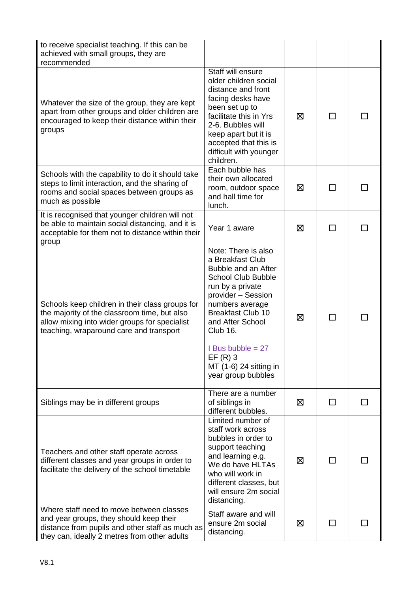| to receive specialist teaching. If this can be<br>achieved with small groups, they are<br>recommended                                                                                       |                                                                                                                                                                                                                                                                                                          |   |              |  |
|---------------------------------------------------------------------------------------------------------------------------------------------------------------------------------------------|----------------------------------------------------------------------------------------------------------------------------------------------------------------------------------------------------------------------------------------------------------------------------------------------------------|---|--------------|--|
| Whatever the size of the group, they are kept<br>apart from other groups and older children are<br>encouraged to keep their distance within their<br>groups                                 | Staff will ensure<br>older children social<br>distance and front<br>facing desks have<br>been set up to<br>facilitate this in Yrs<br>2-6. Bubbles will<br>keep apart but it is<br>accepted that this is<br>difficult with younger<br>children.                                                           | ⊠ |              |  |
| Schools with the capability to do it should take<br>steps to limit interaction, and the sharing of<br>rooms and social spaces between groups as<br>much as possible                         | Each bubble has<br>their own allocated<br>room, outdoor space<br>and hall time for<br>lunch.                                                                                                                                                                                                             | ⊠ | ΙI           |  |
| It is recognised that younger children will not<br>be able to maintain social distancing, and it is<br>acceptable for them not to distance within their<br>group                            | Year 1 aware                                                                                                                                                                                                                                                                                             | ⊠ |              |  |
| Schools keep children in their class groups for<br>the majority of the classroom time, but also<br>allow mixing into wider groups for specialist<br>teaching, wraparound care and transport | Note: There is also<br>a Breakfast Club<br>Bubble and an After<br><b>School Club Bubble</b><br>run by a private<br>provider - Session<br>numbers average<br><b>Breakfast Club 10</b><br>and After School<br>Club 16.<br>I Bus bubble $= 27$<br>$EF(R)$ 3<br>MT (1-6) 24 sitting in<br>year group bubbles | ⊠ | $\mathbf{I}$ |  |
| Siblings may be in different groups                                                                                                                                                         | There are a number<br>of siblings in<br>different bubbles.                                                                                                                                                                                                                                               | 区 | $\mathsf{L}$ |  |
| Teachers and other staff operate across<br>different classes and year groups in order to<br>facilitate the delivery of the school timetable                                                 | Limited number of<br>staff work across<br>bubbles in order to<br>support teaching<br>and learning e.g.<br>We do have HLTAs<br>who will work in<br>different classes, but<br>will ensure 2m social<br>distancing.                                                                                         | ⊠ |              |  |
| Where staff need to move between classes<br>and year groups, they should keep their<br>distance from pupils and other staff as much as<br>they can, ideally 2 metres from other adults      | Staff aware and will<br>ensure 2m social<br>distancing.                                                                                                                                                                                                                                                  | ⊠ |              |  |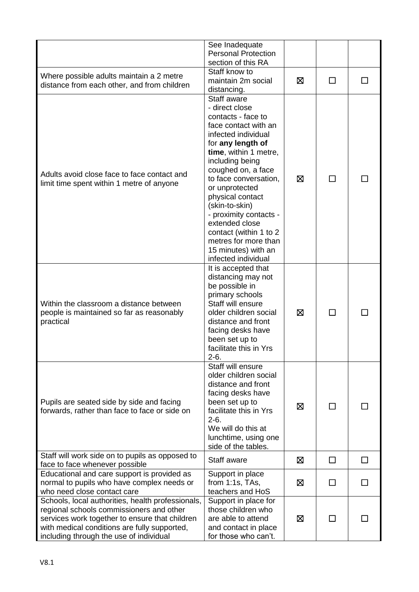|                                                   | See Inadequate<br><b>Personal Protection</b> |   |              |   |
|---------------------------------------------------|----------------------------------------------|---|--------------|---|
|                                                   | section of this RA                           |   |              |   |
| Where possible adults maintain a 2 metre          | Staff know to                                |   |              |   |
| distance from each other, and from children       | maintain 2m social                           | ⊠ |              |   |
|                                                   | distancing.                                  |   |              |   |
|                                                   | Staff aware                                  |   |              |   |
|                                                   | - direct close<br>contacts - face to         |   |              |   |
|                                                   | face contact with an                         |   |              |   |
|                                                   | infected individual                          |   |              |   |
|                                                   | for any length of                            |   |              |   |
|                                                   | time, within 1 metre,                        |   |              |   |
|                                                   | including being                              |   |              |   |
|                                                   | coughed on, a face                           |   |              |   |
| Adults avoid close face to face contact and       | to face conversation,                        | ⊠ | П            |   |
| limit time spent within 1 metre of anyone         | or unprotected                               |   |              |   |
|                                                   | physical contact                             |   |              |   |
|                                                   | (skin-to-skin)                               |   |              |   |
|                                                   | - proximity contacts -                       |   |              |   |
|                                                   | extended close                               |   |              |   |
|                                                   | contact (within 1 to 2                       |   |              |   |
|                                                   | metres for more than                         |   |              |   |
|                                                   | 15 minutes) with an                          |   |              |   |
|                                                   | infected individual<br>It is accepted that   |   |              |   |
|                                                   | distancing may not                           |   |              |   |
|                                                   | be possible in                               |   |              |   |
|                                                   | primary schools                              |   |              |   |
| Within the classroom a distance between           | Staff will ensure                            |   |              |   |
| people is maintained so far as reasonably         | older children social                        | ⊠ | $\mathsf{L}$ |   |
| practical                                         | distance and front                           |   |              |   |
|                                                   | facing desks have                            |   |              |   |
|                                                   | been set up to                               |   |              |   |
|                                                   | facilitate this in Yrs<br>$2-6.$             |   |              |   |
|                                                   | Staff will ensure                            |   |              |   |
|                                                   | older children social                        |   |              |   |
|                                                   | distance and front                           |   |              |   |
|                                                   | facing desks have                            |   |              |   |
| Pupils are seated side by side and facing         | been set up to                               | ⊠ | $\mathbf{I}$ |   |
| forwards, rather than face to face or side on     | facilitate this in Yrs                       |   |              |   |
|                                                   | $2-6.$                                       |   |              |   |
|                                                   | We will do this at                           |   |              |   |
|                                                   | lunchtime, using one                         |   |              |   |
| Staff will work side on to pupils as opposed to   | side of the tables.                          |   |              |   |
| face to face whenever possible                    | Staff aware                                  | ⊠ | П            | □ |
| Educational and care support is provided as       | Support in place                             |   |              |   |
| normal to pupils who have complex needs or        | from $1:1s$ , TAs,                           | ⊠ | $\mathbf{L}$ |   |
| who need close contact care                       | teachers and HoS                             |   |              |   |
| Schools, local authorities, health professionals, | Support in place for                         |   |              |   |
| regional schools commissioners and other          | those children who                           |   |              |   |
| services work together to ensure that children    | are able to attend                           | ⊠ |              |   |
| with medical conditions are fully supported,      | and contact in place                         |   |              |   |
| including through the use of individual           | for those who can't.                         |   |              |   |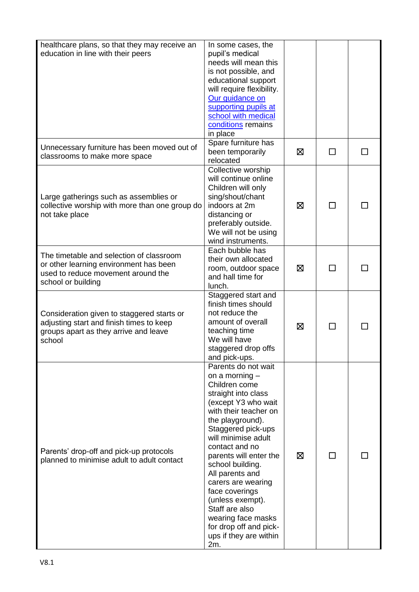| healthcare plans, so that they may receive an  | In some cases, the                      |   |        |  |
|------------------------------------------------|-----------------------------------------|---|--------|--|
| education in line with their peers             | pupil's medical<br>needs will mean this |   |        |  |
|                                                | is not possible, and                    |   |        |  |
|                                                | educational support                     |   |        |  |
|                                                | will require flexibility.               |   |        |  |
|                                                | Our guidance on                         |   |        |  |
|                                                | supporting pupils at                    |   |        |  |
|                                                | school with medical                     |   |        |  |
|                                                | conditions remains                      |   |        |  |
|                                                | in place                                |   |        |  |
|                                                | Spare furniture has                     |   |        |  |
| Unnecessary furniture has been moved out of    | been temporarily                        | ⊠ | ΙI     |  |
| classrooms to make more space                  | relocated                               |   |        |  |
|                                                | Collective worship                      |   |        |  |
|                                                | will continue online                    |   |        |  |
|                                                | Children will only                      |   |        |  |
| Large gatherings such as assemblies or         | sing/shout/chant                        |   |        |  |
| collective worship with more than one group do | indoors at 2m                           | ⊠ | $\Box$ |  |
| not take place                                 | distancing or                           |   |        |  |
|                                                | preferably outside.                     |   |        |  |
|                                                | We will not be using                    |   |        |  |
|                                                | wind instruments.                       |   |        |  |
| The timetable and selection of classroom       | Each bubble has                         |   |        |  |
| or other learning environment has been         | their own allocated                     |   |        |  |
| used to reduce movement around the             | room, outdoor space                     | ⊠ | П      |  |
| school or building                             | and hall time for                       |   |        |  |
|                                                | lunch.                                  |   |        |  |
|                                                | Staggered start and                     |   |        |  |
|                                                | finish times should                     |   |        |  |
| Consideration given to staggered starts or     | not reduce the                          |   |        |  |
| adjusting start and finish times to keep       | amount of overall                       | 区 | ΙI     |  |
| groups apart as they arrive and leave          | teaching time                           |   |        |  |
| school                                         | We will have                            |   |        |  |
|                                                | staggered drop offs<br>and pick-ups.    |   |        |  |
|                                                | Parents do not wait                     |   |        |  |
|                                                | on a morning $-$                        |   |        |  |
|                                                | Children come                           |   |        |  |
|                                                | straight into class                     |   |        |  |
|                                                | (except Y3 who wait                     |   |        |  |
|                                                | with their teacher on                   |   |        |  |
|                                                | the playground).                        |   |        |  |
|                                                | Staggered pick-ups                      |   |        |  |
|                                                | will minimise adult                     |   |        |  |
| Parents' drop-off and pick-up protocols        | contact and no                          |   |        |  |
| planned to minimise adult to adult contact     | parents will enter the                  | ⊠ |        |  |
|                                                | school building.                        |   |        |  |
|                                                | All parents and                         |   |        |  |
|                                                | carers are wearing                      |   |        |  |
|                                                | face coverings                          |   |        |  |
|                                                | (unless exempt).<br>Staff are also      |   |        |  |
|                                                | wearing face masks                      |   |        |  |
|                                                | for drop off and pick-                  |   |        |  |
|                                                | ups if they are within                  |   |        |  |
|                                                | 2m.                                     |   |        |  |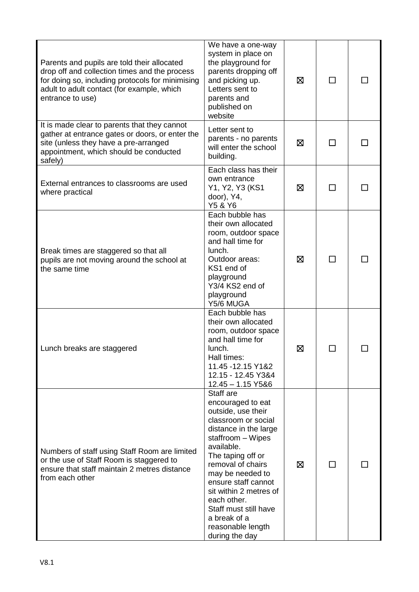| Parents and pupils are told their allocated<br>drop off and collection times and the process<br>for doing so, including protocols for minimising<br>adult to adult contact (for example, which<br>entrance to use) | We have a one-way<br>system in place on<br>the playground for<br>parents dropping off<br>and picking up.<br>Letters sent to<br>parents and<br>published on<br>website                                                                                                                                                                                 | ⊠ |    |  |
|--------------------------------------------------------------------------------------------------------------------------------------------------------------------------------------------------------------------|-------------------------------------------------------------------------------------------------------------------------------------------------------------------------------------------------------------------------------------------------------------------------------------------------------------------------------------------------------|---|----|--|
| It is made clear to parents that they cannot<br>gather at entrance gates or doors, or enter the<br>site (unless they have a pre-arranged<br>appointment, which should be conducted<br>safely)                      | Letter sent to<br>parents - no parents<br>will enter the school<br>building.                                                                                                                                                                                                                                                                          | Ø | П  |  |
| External entrances to classrooms are used<br>where practical                                                                                                                                                       | Each class has their<br>own entrance<br>Y1, Y2, Y3 (KS1<br>door), Y4,<br>Y5 & Y6                                                                                                                                                                                                                                                                      | ⊠ | ΙI |  |
| Break times are staggered so that all<br>pupils are not moving around the school at<br>the same time                                                                                                               | Each bubble has<br>their own allocated<br>room, outdoor space<br>and hall time for<br>lunch.<br>Outdoor areas:<br>KS1 end of<br>playground<br>Y3/4 KS2 end of<br>playground<br>Y5/6 MUGA                                                                                                                                                              | ⊠ | П  |  |
| Lunch breaks are staggered                                                                                                                                                                                         | Each bubble has<br>their own allocated<br>room, outdoor space<br>and hall time for<br>lunch.<br>Hall times:<br>11.45 - 12.15 Y1&2<br>12.15 - 12.45 Y3&4<br>$12.45 - 1.15$ Y5&6                                                                                                                                                                        | ⊠ |    |  |
| Numbers of staff using Staff Room are limited<br>or the use of Staff Room is staggered to<br>ensure that staff maintain 2 metres distance<br>from each other                                                       | Staff are<br>encouraged to eat<br>outside, use their<br>classroom or social<br>distance in the large<br>staffroom - Wipes<br>available.<br>The taping off or<br>removal of chairs<br>may be needed to<br>ensure staff cannot<br>sit within 2 metres of<br>each other.<br>Staff must still have<br>a break of a<br>reasonable length<br>during the day | ⊠ | ΙI |  |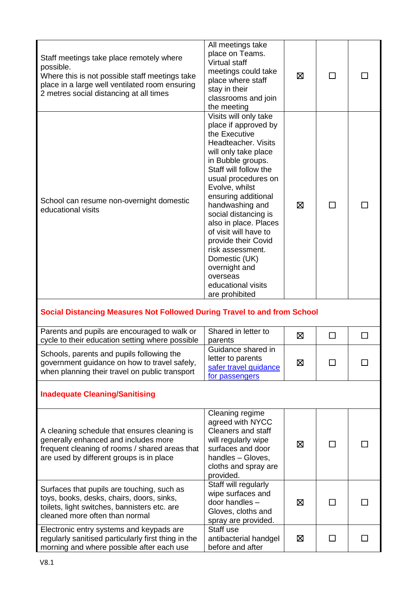| Staff meetings take place remotely where<br>possible.<br>Where this is not possible staff meetings take<br>place in a large well ventilated room ensuring<br>2 metres social distancing at all times | All meetings take<br>place on Teams.<br><b>Virtual staff</b><br>meetings could take<br>place where staff<br>stay in their<br>classrooms and join<br>the meeting                                                                                                                                                                                                                                                                                           | ⊠ | П      |              |
|------------------------------------------------------------------------------------------------------------------------------------------------------------------------------------------------------|-----------------------------------------------------------------------------------------------------------------------------------------------------------------------------------------------------------------------------------------------------------------------------------------------------------------------------------------------------------------------------------------------------------------------------------------------------------|---|--------|--------------|
| School can resume non-overnight domestic<br>educational visits                                                                                                                                       | Visits will only take<br>place if approved by<br>the Executive<br>Headteacher, Visits<br>will only take place<br>in Bubble groups.<br>Staff will follow the<br>usual procedures on<br>Evolve, whilst<br>ensuring additional<br>handwashing and<br>social distancing is<br>also in place. Places<br>of visit will have to<br>provide their Covid<br>risk assessment.<br>Domestic (UK)<br>overnight and<br>overseas<br>educational visits<br>are prohibited | ⊠ | $\Box$ |              |
| Social Distancing Measures Not Followed During Travel to and from School                                                                                                                             |                                                                                                                                                                                                                                                                                                                                                                                                                                                           |   |        |              |
| Parents and pupils are encouraged to walk or<br>cycle to their education setting where possible                                                                                                      | Shared in letter to<br>parents                                                                                                                                                                                                                                                                                                                                                                                                                            | 区 | П      | $\mathsf{L}$ |
| Schools, parents and pupils following the<br>government guidance on how to travel safely,<br>when planning their travel on public transport                                                          | Guidance shared in<br>letter to parents<br>safer travel guidance<br>for passengers                                                                                                                                                                                                                                                                                                                                                                        | 区 |        |              |
| <b>Inadequate Cleaning/Sanitising</b>                                                                                                                                                                |                                                                                                                                                                                                                                                                                                                                                                                                                                                           |   |        |              |
| A cleaning schedule that ensures cleaning is<br>generally enhanced and includes more<br>frequent cleaning of rooms / shared areas that<br>are used by different groups is in place                   | Cleaning regime<br>agreed with NYCC<br><b>Cleaners and staff</b><br>will regularly wipe<br>surfaces and door<br>handles - Gloves,<br>cloths and spray are<br>provided.                                                                                                                                                                                                                                                                                    | ⊠ |        |              |
| Surfaces that pupils are touching, such as<br>toys, books, desks, chairs, doors, sinks,<br>toilets, light switches, bannisters etc. are<br>cleaned more often than normal                            | Staff will regularly<br>wipe surfaces and<br>door handles -<br>Gloves, cloths and                                                                                                                                                                                                                                                                                                                                                                         | ⊠ | ΙI     |              |
| Electronic entry systems and keypads are                                                                                                                                                             | spray are provided.<br>Staff use                                                                                                                                                                                                                                                                                                                                                                                                                          |   |        |              |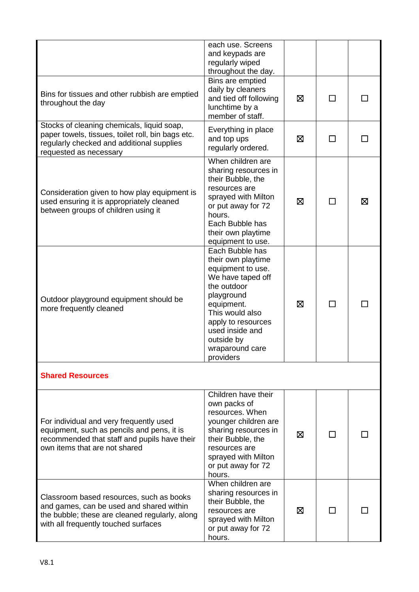|                                                                                                                                                                                | each use. Screens<br>and keypads are<br>regularly wiped<br>throughout the day.                                                                                                                                                       |   |               |   |
|--------------------------------------------------------------------------------------------------------------------------------------------------------------------------------|--------------------------------------------------------------------------------------------------------------------------------------------------------------------------------------------------------------------------------------|---|---------------|---|
| Bins for tissues and other rubbish are emptied<br>throughout the day                                                                                                           | Bins are emptied<br>daily by cleaners<br>and tied off following<br>lunchtime by a<br>member of staff.                                                                                                                                | ⊠ | $\mathcal{L}$ |   |
| Stocks of cleaning chemicals, liquid soap,<br>paper towels, tissues, toilet roll, bin bags etc.<br>regularly checked and additional supplies<br>requested as necessary         | Everything in place<br>and top ups<br>regularly ordered.                                                                                                                                                                             | ⊠ | $\Box$        |   |
| Consideration given to how play equipment is<br>used ensuring it is appropriately cleaned<br>between groups of children using it                                               | When children are<br>sharing resources in<br>their Bubble, the<br>resources are<br>sprayed with Milton<br>or put away for 72<br>hours.<br>Each Bubble has<br>their own playtime<br>equipment to use.                                 | 区 | ΙI            | 区 |
| Outdoor playground equipment should be<br>more frequently cleaned                                                                                                              | Each Bubble has<br>their own playtime<br>equipment to use.<br>We have taped off<br>the outdoor<br>playground<br>equipment.<br>This would also<br>apply to resources<br>used inside and<br>outside by<br>wraparound care<br>providers | ⊠ | ΙI            |   |
| <b>Shared Resources</b>                                                                                                                                                        |                                                                                                                                                                                                                                      |   |               |   |
| For individual and very frequently used<br>equipment, such as pencils and pens, it is<br>recommended that staff and pupils have their<br>own items that are not shared         | Children have their<br>own packs of<br>resources. When<br>younger children are<br>sharing resources in<br>their Bubble, the<br>resources are<br>sprayed with Milton<br>or put away for 72<br>hours.                                  | ⊠ |               |   |
| Classroom based resources, such as books<br>and games, can be used and shared within<br>the bubble; these are cleaned regularly, along<br>with all frequently touched surfaces | When children are<br>sharing resources in<br>their Bubble, the<br>resources are<br>sprayed with Milton<br>or put away for 72<br>hours.                                                                                               | ⊠ |               |   |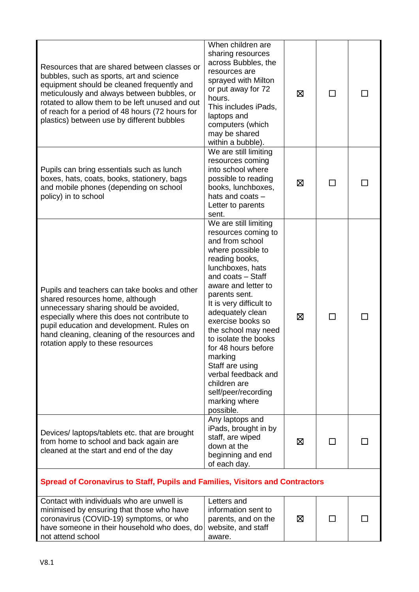| Resources that are shared between classes or<br>bubbles, such as sports, art and science<br>equipment should be cleaned frequently and<br>meticulously and always between bubbles, or<br>rotated to allow them to be left unused and out<br>of reach for a period of 48 hours (72 hours for<br>plastics) between use by different bubbles | When children are<br>sharing resources<br>across Bubbles, the<br>resources are<br>sprayed with Milton<br>or put away for 72<br>hours.<br>This includes iPads,<br>laptops and<br>computers (which<br>may be shared<br>within a bubble).                                                                                                                                                                                                                      | ⊠ | П            |  |
|-------------------------------------------------------------------------------------------------------------------------------------------------------------------------------------------------------------------------------------------------------------------------------------------------------------------------------------------|-------------------------------------------------------------------------------------------------------------------------------------------------------------------------------------------------------------------------------------------------------------------------------------------------------------------------------------------------------------------------------------------------------------------------------------------------------------|---|--------------|--|
| Pupils can bring essentials such as lunch<br>boxes, hats, coats, books, stationery, bags<br>and mobile phones (depending on school<br>policy) in to school                                                                                                                                                                                | We are still limiting<br>resources coming<br>into school where<br>possible to reading<br>books, lunchboxes,<br>hats and coats -<br>Letter to parents<br>sent.                                                                                                                                                                                                                                                                                               | ⊠ | $\mathbf{I}$ |  |
| Pupils and teachers can take books and other<br>shared resources home, although<br>unnecessary sharing should be avoided,<br>especially where this does not contribute to<br>pupil education and development. Rules on<br>hand cleaning, cleaning of the resources and<br>rotation apply to these resources                               | We are still limiting<br>resources coming to<br>and from school<br>where possible to<br>reading books,<br>lunchboxes, hats<br>and coats - Staff<br>aware and letter to<br>parents sent.<br>It is very difficult to<br>adequately clean<br>exercise books so<br>the school may need<br>to isolate the books<br>for 48 hours before<br>marking<br>Staff are using<br>verbal feedback and<br>children are<br>self/peer/recording<br>marking where<br>possible. | ⊠ |              |  |
| Devices/laptops/tablets etc. that are brought<br>from home to school and back again are<br>cleaned at the start and end of the day                                                                                                                                                                                                        | Any laptops and<br>iPads, brought in by<br>staff, are wiped<br>down at the<br>beginning and end<br>of each day.                                                                                                                                                                                                                                                                                                                                             | ⊠ | $\Box$       |  |
| <b>Spread of Coronavirus to Staff, Pupils and Families, Visitors and Contractors</b>                                                                                                                                                                                                                                                      |                                                                                                                                                                                                                                                                                                                                                                                                                                                             |   |              |  |
| Contact with individuals who are unwell is<br>minimised by ensuring that those who have<br>coronavirus (COVID-19) symptoms, or who<br>have someone in their household who does, do<br>not attend school                                                                                                                                   | Letters and<br>information sent to<br>parents, and on the<br>website, and staff<br>aware.                                                                                                                                                                                                                                                                                                                                                                   | 区 |              |  |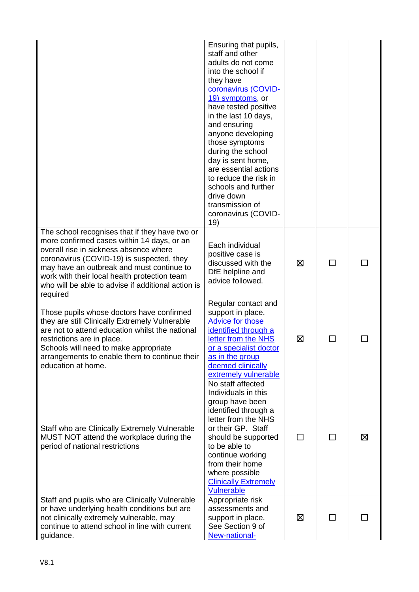|                                                                                                                                                                                                                                                                                                                                                    | Ensuring that pupils,<br>staff and other<br>adults do not come<br>into the school if<br>they have<br>coronavirus (COVID-<br>19) symptoms, or<br>have tested positive<br>in the last 10 days,<br>and ensuring<br>anyone developing<br>those symptoms<br>during the school<br>day is sent home,<br>are essential actions<br>to reduce the risk in<br>schools and further<br>drive down<br>transmission of<br>coronavirus (COVID-<br>19) |         |    |   |
|----------------------------------------------------------------------------------------------------------------------------------------------------------------------------------------------------------------------------------------------------------------------------------------------------------------------------------------------------|---------------------------------------------------------------------------------------------------------------------------------------------------------------------------------------------------------------------------------------------------------------------------------------------------------------------------------------------------------------------------------------------------------------------------------------|---------|----|---|
| The school recognises that if they have two or<br>more confirmed cases within 14 days, or an<br>overall rise in sickness absence where<br>coronavirus (COVID-19) is suspected, they<br>may have an outbreak and must continue to<br>work with their local health protection team<br>who will be able to advise if additional action is<br>required | Each individual<br>positive case is<br>discussed with the<br>DfE helpline and<br>advice followed.                                                                                                                                                                                                                                                                                                                                     | ⊠       |    |   |
| Those pupils whose doctors have confirmed<br>they are still Clinically Extremely Vulnerable<br>are not to attend education whilst the national<br>restrictions are in place.<br>Schools will need to make appropriate<br>arrangements to enable them to continue their<br>education at home.                                                       | Regular contact and<br>support in place.<br><b>Advice for those</b><br>identified through a<br>letter from the NHS<br>or a specialist doctor<br>as in the group<br>deemed clinically<br>extremely vulnerable                                                                                                                                                                                                                          | ⊠       |    |   |
| Staff who are Clinically Extremely Vulnerable<br>MUST NOT attend the workplace during the<br>period of national restrictions                                                                                                                                                                                                                       | No staff affected<br>Individuals in this<br>group have been<br>identified through a<br>letter from the NHS<br>or their GP. Staff<br>should be supported<br>to be able to<br>continue working<br>from their home<br>where possible<br><b>Clinically Extremely</b><br>Vulnerable                                                                                                                                                        | $\perp$ | П  | ⊠ |
| Staff and pupils who are Clinically Vulnerable<br>or have underlying health conditions but are<br>not clinically extremely vulnerable, may<br>continue to attend school in line with current<br>guidance.                                                                                                                                          | Appropriate risk<br>assessments and<br>support in place.<br>See Section 9 of<br>New-national-                                                                                                                                                                                                                                                                                                                                         | ⊠       | ΙI |   |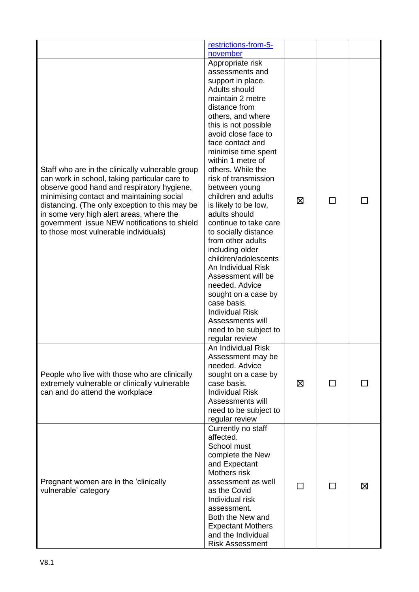|                                                                                                                                                                                                                                                                                                                                                                                     | restrictions-from-5-                                                                                                                                                                                                                                                                                                                                                                                                                                                                                                                                                                                                                                                                                       |   |        |   |
|-------------------------------------------------------------------------------------------------------------------------------------------------------------------------------------------------------------------------------------------------------------------------------------------------------------------------------------------------------------------------------------|------------------------------------------------------------------------------------------------------------------------------------------------------------------------------------------------------------------------------------------------------------------------------------------------------------------------------------------------------------------------------------------------------------------------------------------------------------------------------------------------------------------------------------------------------------------------------------------------------------------------------------------------------------------------------------------------------------|---|--------|---|
| Staff who are in the clinically vulnerable group<br>can work in school, taking particular care to<br>observe good hand and respiratory hygiene,<br>minimising contact and maintaining social<br>distancing. (The only exception to this may be<br>in some very high alert areas, where the<br>government issue NEW notifications to shield<br>to those most vulnerable individuals) | november<br>Appropriate risk<br>assessments and<br>support in place.<br>Adults should<br>maintain 2 metre<br>distance from<br>others, and where<br>this is not possible<br>avoid close face to<br>face contact and<br>minimise time spent<br>within 1 metre of<br>others. While the<br>risk of transmission<br>between young<br>children and adults<br>is likely to be low,<br>adults should<br>continue to take care<br>to socially distance<br>from other adults<br>including older<br>children/adolescents<br>An Individual Risk<br>Assessment will be<br>needed. Advice<br>sought on a case by<br>case basis.<br><b>Individual Risk</b><br>Assessments will<br>need to be subject to<br>regular review | ⊠ | $\Box$ |   |
| People who live with those who are clinically<br>extremely vulnerable or clinically vulnerable<br>can and do attend the workplace                                                                                                                                                                                                                                                   | An Individual Risk<br>Assessment may be<br>needed. Advice<br>sought on a case by<br>case basis.<br><b>Individual Risk</b><br>Assessments will<br>need to be subject to<br>regular review                                                                                                                                                                                                                                                                                                                                                                                                                                                                                                                   | ⊠ | □      |   |
| Pregnant women are in the 'clinically<br>vulnerable' category                                                                                                                                                                                                                                                                                                                       | Currently no staff<br>affected.<br>School must<br>complete the New<br>and Expectant<br>Mothers risk<br>assessment as well<br>as the Covid<br>Individual risk<br>assessment.<br>Both the New and<br><b>Expectant Mothers</b><br>and the Individual<br><b>Risk Assessment</b>                                                                                                                                                                                                                                                                                                                                                                                                                                |   | ΙI     | 区 |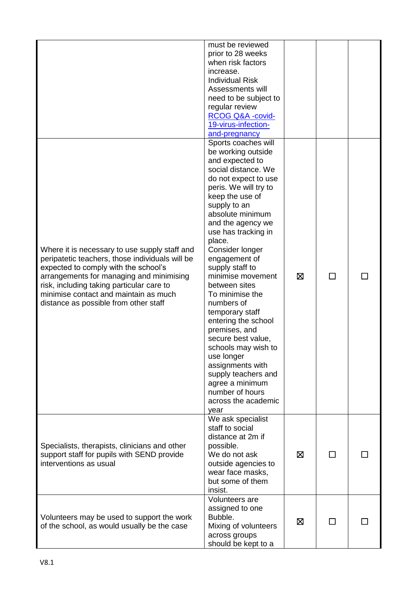|                                                                                                                                                                                                                                                                                                                     | must be reviewed<br>prior to 28 weeks<br>when risk factors<br>increase.<br><b>Individual Risk</b><br>Assessments will<br>need to be subject to<br>regular review<br>RCOG Q&A -covid-<br>19-virus-infection-<br>and-pregnancy                                                                                                                                                                                                                                                                                                                                                                                          |   |    |  |
|---------------------------------------------------------------------------------------------------------------------------------------------------------------------------------------------------------------------------------------------------------------------------------------------------------------------|-----------------------------------------------------------------------------------------------------------------------------------------------------------------------------------------------------------------------------------------------------------------------------------------------------------------------------------------------------------------------------------------------------------------------------------------------------------------------------------------------------------------------------------------------------------------------------------------------------------------------|---|----|--|
| Where it is necessary to use supply staff and<br>peripatetic teachers, those individuals will be<br>expected to comply with the school's<br>arrangements for managing and minimising<br>risk, including taking particular care to<br>minimise contact and maintain as much<br>distance as possible from other staff | Sports coaches will<br>be working outside<br>and expected to<br>social distance. We<br>do not expect to use<br>peris. We will try to<br>keep the use of<br>supply to an<br>absolute minimum<br>and the agency we<br>use has tracking in<br>place.<br>Consider longer<br>engagement of<br>supply staff to<br>minimise movement<br>between sites<br>To minimise the<br>numbers of<br>temporary staff<br>entering the school<br>premises, and<br>secure best value,<br>schools may wish to<br>use longer<br>assignments with<br>supply teachers and<br>agree a minimum<br>number of hours<br>across the academic<br>year | ⊠ | П  |  |
| Specialists, therapists, clinicians and other<br>support staff for pupils with SEND provide<br>interventions as usual                                                                                                                                                                                               | We ask specialist<br>staff to social<br>distance at 2m if<br>possible.<br>We do not ask<br>outside agencies to<br>wear face masks,<br>but some of them<br>insist.                                                                                                                                                                                                                                                                                                                                                                                                                                                     | ⊠ | П  |  |
| Volunteers may be used to support the work<br>of the school, as would usually be the case                                                                                                                                                                                                                           | Volunteers are<br>assigned to one<br>Bubble.<br>Mixing of volunteers<br>across groups<br>should be kept to a                                                                                                                                                                                                                                                                                                                                                                                                                                                                                                          | ⊠ | ΙI |  |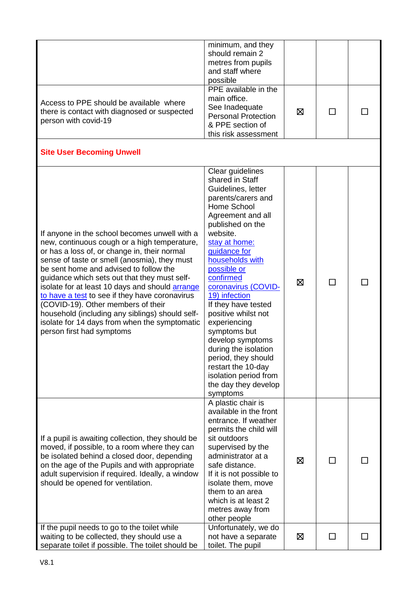|                                                                                                                                                                                                                                                                                                                                                                                                                                                                                                                                                                     | minimum, and they<br>should remain 2<br>metres from pupils<br>and staff where<br>possible                                                                                                                                                                                                                                                                                                                                                                                                                       |   |              |  |
|---------------------------------------------------------------------------------------------------------------------------------------------------------------------------------------------------------------------------------------------------------------------------------------------------------------------------------------------------------------------------------------------------------------------------------------------------------------------------------------------------------------------------------------------------------------------|-----------------------------------------------------------------------------------------------------------------------------------------------------------------------------------------------------------------------------------------------------------------------------------------------------------------------------------------------------------------------------------------------------------------------------------------------------------------------------------------------------------------|---|--------------|--|
| Access to PPE should be available where<br>there is contact with diagnosed or suspected<br>person with covid-19                                                                                                                                                                                                                                                                                                                                                                                                                                                     | PPE available in the<br>main office.<br>See Inadequate<br><b>Personal Protection</b><br>& PPE section of<br>this risk assessment                                                                                                                                                                                                                                                                                                                                                                                | ⊠ | $\mathsf{L}$ |  |
| <b>Site User Becoming Unwell</b>                                                                                                                                                                                                                                                                                                                                                                                                                                                                                                                                    |                                                                                                                                                                                                                                                                                                                                                                                                                                                                                                                 |   |              |  |
| If anyone in the school becomes unwell with a<br>new, continuous cough or a high temperature,<br>or has a loss of, or change in, their normal<br>sense of taste or smell (anosmia), they must<br>be sent home and advised to follow the<br>guidance which sets out that they must self-<br>isolate for at least 10 days and should arrange<br>to have a test to see if they have coronavirus<br>(COVID-19). Other members of their<br>household (including any siblings) should self-<br>isolate for 14 days from when the symptomatic<br>person first had symptoms | Clear guidelines<br>shared in Staff<br>Guidelines, letter<br>parents/carers and<br>Home School<br>Agreement and all<br>published on the<br>website.<br>stay at home:<br>guidance for<br>households with<br>possible or<br>confirmed<br>coronavirus (COVID-<br>19) infection<br>If they have tested<br>positive whilst not<br>experiencing<br>symptoms but<br>develop symptoms<br>during the isolation<br>period, they should<br>restart the 10-day<br>isolation period from<br>the day they develop<br>symptoms | ⊠ | П            |  |
| If a pupil is awaiting collection, they should be<br>moved, if possible, to a room where they can<br>be isolated behind a closed door, depending<br>on the age of the Pupils and with appropriate<br>adult supervision if required. Ideally, a window<br>should be opened for ventilation.                                                                                                                                                                                                                                                                          | A plastic chair is<br>available in the front<br>entrance. If weather<br>permits the child will<br>sit outdoors<br>supervised by the<br>administrator at a<br>safe distance.<br>If it is not possible to<br>isolate them, move<br>them to an area<br>which is at least 2<br>metres away from<br>other people                                                                                                                                                                                                     | 区 | ΙI           |  |
| If the pupil needs to go to the toilet while<br>waiting to be collected, they should use a<br>separate toilet if possible. The toilet should be                                                                                                                                                                                                                                                                                                                                                                                                                     | Unfortunately, we do<br>not have a separate<br>toilet. The pupil                                                                                                                                                                                                                                                                                                                                                                                                                                                | 区 | ΙI           |  |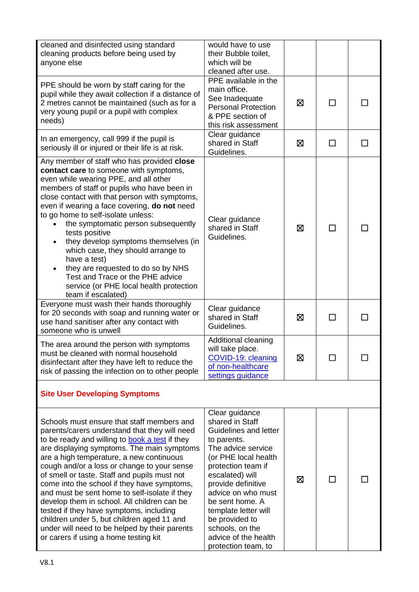| cleaned and disinfected using standard<br>cleaning products before being used by<br>anyone else                                                                                                                                                                                                                                                                                                                                                                                                                                                                                                                                                                                 | would have to use<br>their Bubble toilet,<br>which will be<br>cleaned after use.                                                                                                                                                                                                                                                            |   |                             |              |
|---------------------------------------------------------------------------------------------------------------------------------------------------------------------------------------------------------------------------------------------------------------------------------------------------------------------------------------------------------------------------------------------------------------------------------------------------------------------------------------------------------------------------------------------------------------------------------------------------------------------------------------------------------------------------------|---------------------------------------------------------------------------------------------------------------------------------------------------------------------------------------------------------------------------------------------------------------------------------------------------------------------------------------------|---|-----------------------------|--------------|
| PPE should be worn by staff caring for the<br>pupil while they await collection if a distance of<br>2 metres cannot be maintained (such as for a<br>very young pupil or a pupil with complex<br>needs)                                                                                                                                                                                                                                                                                                                                                                                                                                                                          | PPE available in the<br>main office.<br>See Inadequate<br><b>Personal Protection</b><br>& PPE section of<br>this risk assessment                                                                                                                                                                                                            | ⊠ | ΙI                          | $\mathbf{I}$ |
| In an emergency, call 999 if the pupil is<br>seriously ill or injured or their life is at risk.                                                                                                                                                                                                                                                                                                                                                                                                                                                                                                                                                                                 | Clear guidance<br>shared in Staff<br>Guidelines.                                                                                                                                                                                                                                                                                            | ⊠ | ΙI                          |              |
| Any member of staff who has provided close<br>contact care to someone with symptoms,<br>even while wearing PPE, and all other<br>members of staff or pupils who have been in<br>close contact with that person with symptoms,<br>even if wearing a face covering, do not need<br>to go home to self-isolate unless:<br>the symptomatic person subsequently<br>tests positive<br>they develop symptoms themselves (in<br>$\bullet$<br>which case, they should arrange to<br>have a test)<br>they are requested to do so by NHS<br>Test and Trace or the PHE advice<br>service (or PHE local health protection<br>team if escalated)                                              | Clear guidance<br>shared in Staff<br>Guidelines.                                                                                                                                                                                                                                                                                            | ⊠ | $\Box$                      |              |
| Everyone must wash their hands thoroughly<br>for 20 seconds with soap and running water or<br>use hand sanitiser after any contact with<br>someone who is unwell                                                                                                                                                                                                                                                                                                                                                                                                                                                                                                                | Clear guidance<br>shared in Staff<br>Guidelines.                                                                                                                                                                                                                                                                                            | ⊠ | ΙI                          |              |
| The area around the person with symptoms<br>must be cleaned with normal household<br>disinfectant after they have left to reduce the<br>risk of passing the infection on to other people                                                                                                                                                                                                                                                                                                                                                                                                                                                                                        | Additional cleaning<br>will take place.<br>COVID-19: cleaning<br>of non-healthcare<br>settings guidance                                                                                                                                                                                                                                     | ⊠ | $\mathcal{L}_{\mathcal{A}}$ |              |
| <b>Site User Developing Symptoms</b>                                                                                                                                                                                                                                                                                                                                                                                                                                                                                                                                                                                                                                            |                                                                                                                                                                                                                                                                                                                                             |   |                             |              |
| Schools must ensure that staff members and<br>parents/carers understand that they will need<br>to be ready and willing to <b>book a test</b> if they<br>are displaying symptoms. The main symptoms<br>are a high temperature, a new continuous<br>cough and/or a loss or change to your sense<br>of smell or taste. Staff and pupils must not<br>come into the school if they have symptoms,<br>and must be sent home to self-isolate if they<br>develop them in school. All children can be<br>tested if they have symptoms, including<br>children under 5, but children aged 11 and<br>under will need to be helped by their parents<br>or carers if using a home testing kit | Clear guidance<br>shared in Staff<br>Guidelines and letter<br>to parents.<br>The advice service<br>(or PHE local health<br>protection team if<br>escalated) will<br>provide definitive<br>advice on who must<br>be sent home. A<br>template letter will<br>be provided to<br>schools, on the<br>advice of the health<br>protection team, to | ⊠ | П                           |              |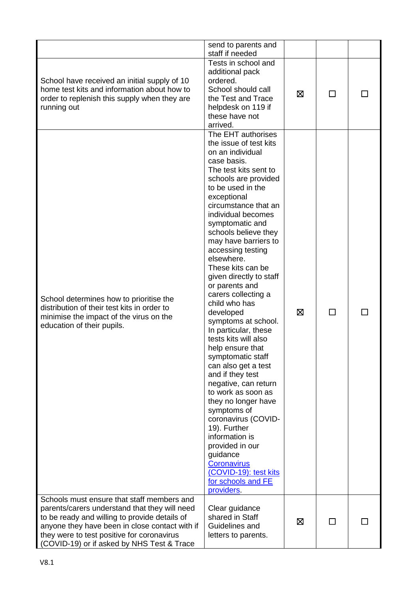|                                                                                                                                                                                                                                                                                            | send to parents and<br>staff if needed                                                                                                                                                                                                                                                                                                                                                                                                                                                                                                                                                                                                                                                                                                                                                                                                                             |             |        |  |
|--------------------------------------------------------------------------------------------------------------------------------------------------------------------------------------------------------------------------------------------------------------------------------------------|--------------------------------------------------------------------------------------------------------------------------------------------------------------------------------------------------------------------------------------------------------------------------------------------------------------------------------------------------------------------------------------------------------------------------------------------------------------------------------------------------------------------------------------------------------------------------------------------------------------------------------------------------------------------------------------------------------------------------------------------------------------------------------------------------------------------------------------------------------------------|-------------|--------|--|
| School have received an initial supply of 10<br>home test kits and information about how to<br>order to replenish this supply when they are<br>running out                                                                                                                                 | Tests in school and<br>additional pack<br>ordered.<br>School should call<br>the Test and Trace<br>helpdesk on 119 if<br>these have not<br>arrived.                                                                                                                                                                                                                                                                                                                                                                                                                                                                                                                                                                                                                                                                                                                 | ⊠           | $\Box$ |  |
| School determines how to prioritise the<br>distribution of their test kits in order to<br>minimise the impact of the virus on the<br>education of their pupils.                                                                                                                            | The EHT authorises<br>the issue of test kits<br>on an individual<br>case basis.<br>The test kits sent to<br>schools are provided<br>to be used in the<br>exceptional<br>circumstance that an<br>individual becomes<br>symptomatic and<br>schools believe they<br>may have barriers to<br>accessing testing<br>elsewhere.<br>These kits can be<br>given directly to staff<br>or parents and<br>carers collecting a<br>child who has<br>developed<br>symptoms at school.<br>In particular, these<br>tests kits will also<br>help ensure that<br>symptomatic staff<br>can also get a test<br>and if they test<br>negative, can return<br>to work as soon as<br>they no longer have<br>symptoms of<br>coronavirus (COVID-<br>19). Further<br>information is<br>provided in our<br>guidance<br>Coronavirus<br>(COVID-19): test kits<br>for schools and FE<br>providers. | $\boxtimes$ | П      |  |
| Schools must ensure that staff members and<br>parents/carers understand that they will need<br>to be ready and willing to provide details of<br>anyone they have been in close contact with if<br>they were to test positive for coronavirus<br>(COVID-19) or if asked by NHS Test & Trace | Clear guidance<br>shared in Staff<br>Guidelines and<br>letters to parents.                                                                                                                                                                                                                                                                                                                                                                                                                                                                                                                                                                                                                                                                                                                                                                                         | ⊠           | П      |  |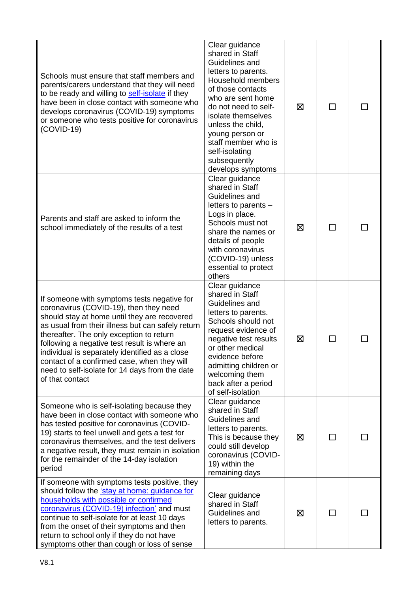| Schools must ensure that staff members and<br>parents/carers understand that they will need<br>to be ready and willing to self-isolate if they<br>have been in close contact with someone who<br>develops coronavirus (COVID-19) symptoms<br>or someone who tests positive for coronavirus<br>$(COVID-19)$                                                                                                                                                   | Clear guidance<br>shared in Staff<br>Guidelines and<br>letters to parents.<br>Household members<br>of those contacts<br>who are sent home<br>do not need to self-<br>isolate themselves<br>unless the child,<br>young person or<br>staff member who is<br>self-isolating<br>subsequently<br>develops symptoms | ⊠ | $\mathsf{L}$ |  |
|--------------------------------------------------------------------------------------------------------------------------------------------------------------------------------------------------------------------------------------------------------------------------------------------------------------------------------------------------------------------------------------------------------------------------------------------------------------|---------------------------------------------------------------------------------------------------------------------------------------------------------------------------------------------------------------------------------------------------------------------------------------------------------------|---|--------------|--|
| Parents and staff are asked to inform the<br>school immediately of the results of a test                                                                                                                                                                                                                                                                                                                                                                     | Clear guidance<br>shared in Staff<br>Guidelines and<br>letters to parents -<br>Logs in place.<br>Schools must not<br>share the names or<br>details of people<br>with coronavirus<br>(COVID-19) unless<br>essential to protect<br>others                                                                       | ⊠ | П            |  |
| If someone with symptoms tests negative for<br>coronavirus (COVID-19), then they need<br>should stay at home until they are recovered<br>as usual from their illness but can safely return<br>thereafter. The only exception to return<br>following a negative test result is where an<br>individual is separately identified as a close<br>contact of a confirmed case, when they will<br>need to self-isolate for 14 days from the date<br>of that contact | Clear guidance<br>shared in Staff<br>Guidelines and<br>letters to parents.<br>Schools should not<br>request evidence of<br>negative test results<br>or other medical<br>evidence before<br>admitting children or<br>welcoming them<br>back after a period<br>of self-isolation                                | ⊠ | $\mathbf{I}$ |  |
| Someone who is self-isolating because they<br>have been in close contact with someone who<br>has tested positive for coronavirus (COVID-<br>19) starts to feel unwell and gets a test for<br>coronavirus themselves, and the test delivers<br>a negative result, they must remain in isolation<br>for the remainder of the 14-day isolation<br>period                                                                                                        | Clear guidance<br>shared in Staff<br>Guidelines and<br>letters to parents.<br>This is because they<br>could still develop<br>coronavirus (COVID-<br>19) within the<br>remaining days                                                                                                                          | ⊠ | П            |  |
| If someone with symptoms tests positive, they<br>should follow the 'stay at home: guidance for<br>households with possible or confirmed<br>coronavirus (COVID-19) infection' and must<br>continue to self-isolate for at least 10 days<br>from the onset of their symptoms and then<br>return to school only if they do not have<br>symptoms other than cough or loss of sense                                                                               | Clear guidance<br>shared in Staff<br>Guidelines and<br>letters to parents.                                                                                                                                                                                                                                    | ⊠ | П            |  |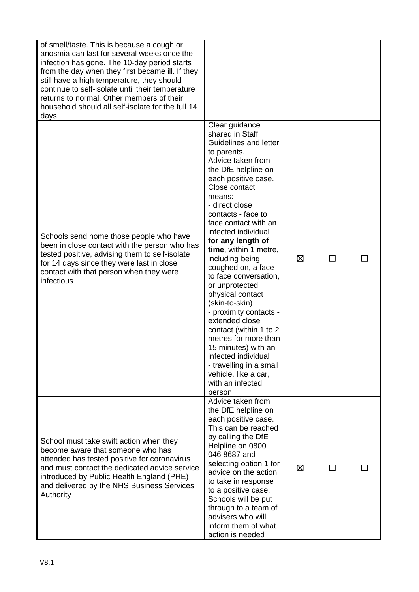| of smell/taste. This is because a cough or<br>anosmia can last for several weeks once the<br>infection has gone. The 10-day period starts<br>from the day when they first became ill. If they<br>still have a high temperature, they should<br>continue to self-isolate until their temperature<br>returns to normal. Other members of their<br>household should all self-isolate for the full 14<br>days |                                                                                                                                                                                                                                                                                                                                                                                                                                                                                                                                                                                                                                                                     |   |              |  |
|-----------------------------------------------------------------------------------------------------------------------------------------------------------------------------------------------------------------------------------------------------------------------------------------------------------------------------------------------------------------------------------------------------------|---------------------------------------------------------------------------------------------------------------------------------------------------------------------------------------------------------------------------------------------------------------------------------------------------------------------------------------------------------------------------------------------------------------------------------------------------------------------------------------------------------------------------------------------------------------------------------------------------------------------------------------------------------------------|---|--------------|--|
| Schools send home those people who have<br>been in close contact with the person who has<br>tested positive, advising them to self-isolate<br>for 14 days since they were last in close<br>contact with that person when they were<br>infectious                                                                                                                                                          | Clear guidance<br>shared in Staff<br>Guidelines and letter<br>to parents.<br>Advice taken from<br>the DfE helpline on<br>each positive case.<br>Close contact<br>means:<br>- direct close<br>contacts - face to<br>face contact with an<br>infected individual<br>for any length of<br>time, within 1 metre,<br>including being<br>coughed on, a face<br>to face conversation,<br>or unprotected<br>physical contact<br>(skin-to-skin)<br>- proximity contacts -<br>extended close<br>contact (within 1 to 2<br>metres for more than<br>15 minutes) with an<br>infected individual<br>- travelling in a small<br>vehicle, like a car,<br>with an infected<br>person | 区 | $\mathbf{I}$ |  |
| School must take swift action when they<br>become aware that someone who has<br>attended has tested positive for coronavirus<br>and must contact the dedicated advice service<br>introduced by Public Health England (PHE)<br>and delivered by the NHS Business Services<br>Authority                                                                                                                     | Advice taken from<br>the DfE helpline on<br>each positive case.<br>This can be reached<br>by calling the DfE<br>Helpline on 0800<br>046 8687 and<br>selecting option 1 for<br>advice on the action<br>to take in response<br>to a positive case.<br>Schools will be put<br>through to a team of<br>advisers who will<br>inform them of what<br>action is needed                                                                                                                                                                                                                                                                                                     | 区 | $\mathbf{L}$ |  |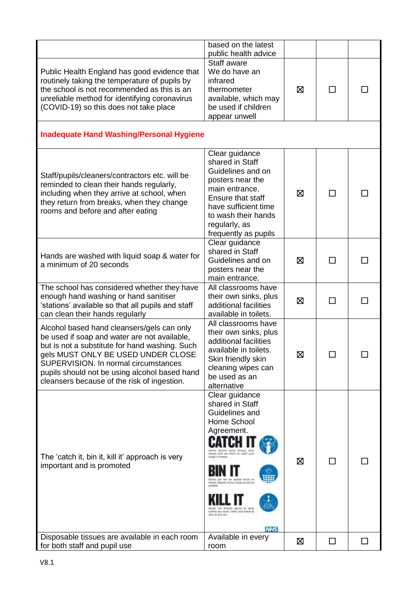|                                                                                                                                                                                                                                                                                                                            | based on the latest<br>public health advice                                                                                                                                                                                                                                                                                    |   |         |    |
|----------------------------------------------------------------------------------------------------------------------------------------------------------------------------------------------------------------------------------------------------------------------------------------------------------------------------|--------------------------------------------------------------------------------------------------------------------------------------------------------------------------------------------------------------------------------------------------------------------------------------------------------------------------------|---|---------|----|
| Public Health England has good evidence that<br>routinely taking the temperature of pupils by<br>the school is not recommended as this is an<br>unreliable method for identifying coronavirus<br>(COVID-19) so this does not take place                                                                                    | Staff aware<br>We do have an<br>infrared<br>thermometer<br>available, which may<br>be used if children<br>appear unwell                                                                                                                                                                                                        | ⊠ | $\perp$ |    |
| <b>Inadequate Hand Washing/Personal Hygiene</b>                                                                                                                                                                                                                                                                            |                                                                                                                                                                                                                                                                                                                                |   |         |    |
| Staff/pupils/cleaners/contractors etc. will be<br>reminded to clean their hands regularly,<br>including when they arrive at school, when<br>they return from breaks, when they change<br>rooms and before and after eating                                                                                                 | Clear guidance<br>shared in Staff<br>Guidelines and on<br>posters near the<br>main entrance.<br>Ensure that staff<br>have sufficient time<br>to wash their hands<br>regularly, as<br>frequently as pupils                                                                                                                      | ⊠ | П       |    |
| Hands are washed with liquid soap & water for<br>a minimum of 20 seconds                                                                                                                                                                                                                                                   | Clear guidance<br>shared in Staff<br>Guidelines and on<br>posters near the<br>main entrance.                                                                                                                                                                                                                                   | ⊠ | П       |    |
| The school has considered whether they have<br>enough hand washing or hand sanitiser<br>'stations' available so that all pupils and staff<br>can clean their hands regularly                                                                                                                                               | All classrooms have<br>their own sinks, plus<br>additional facilities<br>available in toilets.                                                                                                                                                                                                                                 | ⊠ | П       |    |
| Alcohol based hand cleansers/gels can only<br>be used if soap and water are not available,<br>but is not a substitute for hand washing. Such<br>gels MUST ONLY BE USED UNDER CLOSE<br>SUPERVISION. In normal circumstances<br>pupils should not be using alcohol based hand<br>cleansers because of the risk of ingestion. | All classrooms have<br>their own sinks, plus<br>additional facilities<br>available in toilets.<br>Skin friendly skin<br>cleaning wipes can<br>be used as an<br>alternative                                                                                                                                                     | 区 | −       |    |
| The 'catch it, bin it, kill it' approach is very<br>important and is promoted                                                                                                                                                                                                                                              | Clear guidance<br>shared in Staff<br>Guidelines and<br>Home School<br>Agreement.<br>Germa apmost wasty Always story<br>tionals and use them to catch your<br>slough or treasur.<br>on severtal foods or<br>Useam. Dispese of your Hisser Jo soon as<br>urface you touch. Clean your hands at<br>look as you con-<br><b>NHS</b> | ⊠ | П       |    |
| Disposable tissues are available in each room<br>for both staff and pupil use                                                                                                                                                                                                                                              | Available in every<br>room                                                                                                                                                                                                                                                                                                     | ⊠ | □       | ΙI |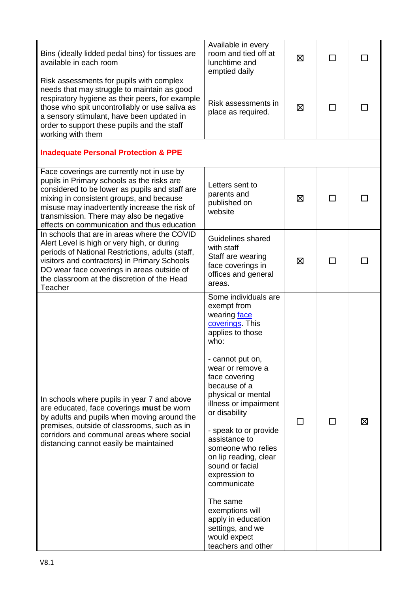| Bins (ideally lidded pedal bins) for tissues are<br>available in each room                                                                                                                                                                                                                                                         | Available in every<br>room and tied off at<br>lunchtime and<br>emptied daily                                                                                                                                                                                                                                                                                                                                                                                                                           | ⊠ | ΙI             |   |
|------------------------------------------------------------------------------------------------------------------------------------------------------------------------------------------------------------------------------------------------------------------------------------------------------------------------------------|--------------------------------------------------------------------------------------------------------------------------------------------------------------------------------------------------------------------------------------------------------------------------------------------------------------------------------------------------------------------------------------------------------------------------------------------------------------------------------------------------------|---|----------------|---|
| Risk assessments for pupils with complex<br>needs that may struggle to maintain as good<br>respiratory hygiene as their peers, for example<br>those who spit uncontrollably or use saliva as<br>a sensory stimulant, have been updated in<br>order to support these pupils and the staff<br>working with them                      | Risk assessments in<br>place as required.                                                                                                                                                                                                                                                                                                                                                                                                                                                              | 区 | $\blacksquare$ |   |
| <b>Inadequate Personal Protection &amp; PPE</b>                                                                                                                                                                                                                                                                                    |                                                                                                                                                                                                                                                                                                                                                                                                                                                                                                        |   |                |   |
| Face coverings are currently not in use by<br>pupils in Primary schools as the risks are<br>considered to be lower as pupils and staff are<br>mixing in consistent groups, and because<br>misuse may inadvertently increase the risk of<br>transmission. There may also be negative<br>effects on communication and thus education | Letters sent to<br>parents and<br>published on<br>website                                                                                                                                                                                                                                                                                                                                                                                                                                              | ⊠ |                |   |
| In schools that are in areas where the COVID<br>Alert Level is high or very high, or during<br>periods of National Restrictions, adults (staff,<br>visitors and contractors) in Primary Schools<br>DO wear face coverings in areas outside of<br>the classroom at the discretion of the Head<br>Teacher                            | Guidelines shared<br>with staff<br>Staff are wearing<br>face coverings in<br>offices and general<br>areas.                                                                                                                                                                                                                                                                                                                                                                                             | ⊠ |                |   |
| In schools where pupils in year 7 and above<br>are educated, face coverings must be worn<br>by adults and pupils when moving around the<br>premises, outside of classrooms, such as in<br>corridors and communal areas where social<br>distancing cannot easily be maintained                                                      | Some individuals are<br>exempt from<br>wearing face<br>coverings. This<br>applies to those<br>who:<br>- cannot put on,<br>wear or remove a<br>face covering<br>because of a<br>physical or mental<br>illness or impairment<br>or disability<br>- speak to or provide<br>assistance to<br>someone who relies<br>on lip reading, clear<br>sound or facial<br>expression to<br>communicate<br>The same<br>exemptions will<br>apply in education<br>settings, and we<br>would expect<br>teachers and other |   |                | ⊠ |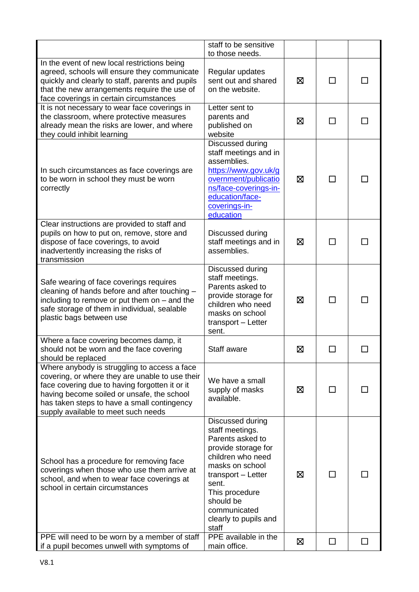|                                                                                                                                                                                                                                                                                       | staff to be sensitive<br>to those needs.                                                                                                                                                                                               |   |              |  |
|---------------------------------------------------------------------------------------------------------------------------------------------------------------------------------------------------------------------------------------------------------------------------------------|----------------------------------------------------------------------------------------------------------------------------------------------------------------------------------------------------------------------------------------|---|--------------|--|
| In the event of new local restrictions being<br>agreed, schools will ensure they communicate<br>quickly and clearly to staff, parents and pupils<br>that the new arrangements require the use of<br>face coverings in certain circumstances                                           | Regular updates<br>sent out and shared<br>on the website.                                                                                                                                                                              | Ø |              |  |
| It is not necessary to wear face coverings in<br>the classroom, where protective measures<br>already mean the risks are lower, and where<br>they could inhibit learning                                                                                                               | Letter sent to<br>parents and<br>published on<br>website                                                                                                                                                                               | ⊠ | П            |  |
| In such circumstances as face coverings are<br>to be worn in school they must be worn<br>correctly                                                                                                                                                                                    | Discussed during<br>staff meetings and in<br>assemblies.<br>https://www.gov.uk/g<br>overnment/publicatio<br>ns/face-coverings-in-<br>education/face-<br>coverings-in-<br>education                                                     | ⊠ | ΙI           |  |
| Clear instructions are provided to staff and<br>pupils on how to put on, remove, store and<br>dispose of face coverings, to avoid<br>inadvertently increasing the risks of<br>transmission                                                                                            | Discussed during<br>staff meetings and in<br>assemblies.                                                                                                                                                                               | ⊠ | $\mathsf{L}$ |  |
| Safe wearing of face coverings requires<br>cleaning of hands before and after touching -<br>including to remove or put them on $-$ and the<br>safe storage of them in individual, sealable<br>plastic bags between use                                                                | Discussed during<br>staff meetings.<br>Parents asked to<br>provide storage for<br>children who need<br>masks on school<br>transport - Letter<br>sent.                                                                                  | ⊠ |              |  |
| Where a face covering becomes damp, it<br>should not be worn and the face covering<br>should be replaced                                                                                                                                                                              | Staff aware                                                                                                                                                                                                                            | ⊠ |              |  |
| Where anybody is struggling to access a face<br>covering, or where they are unable to use their<br>face covering due to having forgotten it or it<br>having become soiled or unsafe, the school<br>has taken steps to have a small contingency<br>supply available to meet such needs | We have a small<br>supply of masks<br>available.                                                                                                                                                                                       | ⊠ |              |  |
| School has a procedure for removing face<br>coverings when those who use them arrive at<br>school, and when to wear face coverings at<br>school in certain circumstances                                                                                                              | Discussed during<br>staff meetings.<br>Parents asked to<br>provide storage for<br>children who need<br>masks on school<br>transport - Letter<br>sent.<br>This procedure<br>should be<br>communicated<br>clearly to pupils and<br>staff | ⊠ | $\mathsf{L}$ |  |
| PPE will need to be worn by a member of staff<br>if a pupil becomes unwell with symptoms of                                                                                                                                                                                           | PPE available in the<br>main office.                                                                                                                                                                                                   | ⊠ | ΙI           |  |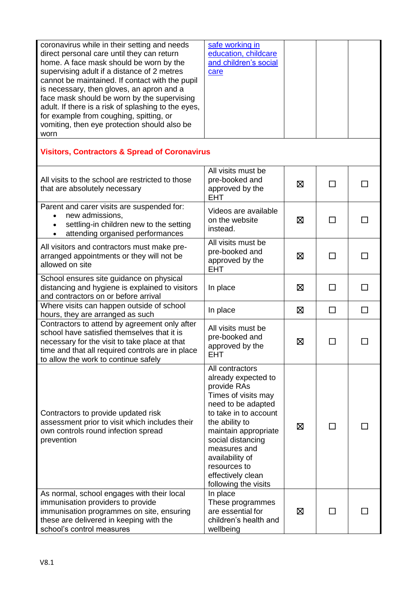| coronavirus while in their setting and needs<br>direct personal care until they can return<br>home. A face mask should be worn by the<br>supervising adult if a distance of 2 metres<br>cannot be maintained. If contact with the pupil<br>is necessary, then gloves, an apron and a<br>face mask should be worn by the supervising<br>adult. If there is a risk of splashing to the eyes,<br>for example from coughing, spitting, or<br>vomiting, then eye protection should also be<br>worn | safe working in<br>education, childcare<br>and children's social<br>care                                                                                                                                                                                                                   |   |        |   |
|-----------------------------------------------------------------------------------------------------------------------------------------------------------------------------------------------------------------------------------------------------------------------------------------------------------------------------------------------------------------------------------------------------------------------------------------------------------------------------------------------|--------------------------------------------------------------------------------------------------------------------------------------------------------------------------------------------------------------------------------------------------------------------------------------------|---|--------|---|
| <b>Visitors, Contractors &amp; Spread of Coronavirus</b>                                                                                                                                                                                                                                                                                                                                                                                                                                      |                                                                                                                                                                                                                                                                                            |   |        |   |
| All visits to the school are restricted to those<br>that are absolutely necessary                                                                                                                                                                                                                                                                                                                                                                                                             | All visits must be<br>pre-booked and<br>approved by the<br><b>EHT</b>                                                                                                                                                                                                                      | ⊠ | $\Box$ |   |
| Parent and carer visits are suspended for:<br>new admissions,<br>$\bullet$<br>settling-in children new to the setting<br>attending organised performances<br>$\bullet$                                                                                                                                                                                                                                                                                                                        | Videos are available<br>on the website<br>instead.                                                                                                                                                                                                                                         | ⊠ |        |   |
| All visitors and contractors must make pre-<br>arranged appointments or they will not be<br>allowed on site                                                                                                                                                                                                                                                                                                                                                                                   | All visits must be<br>pre-booked and<br>approved by the<br><b>EHT</b>                                                                                                                                                                                                                      | ⊠ | П      |   |
| School ensures site guidance on physical<br>distancing and hygiene is explained to visitors<br>and contractors on or before arrival                                                                                                                                                                                                                                                                                                                                                           | In place                                                                                                                                                                                                                                                                                   | ⊠ |        |   |
| Where visits can happen outside of school<br>hours, they are arranged as such                                                                                                                                                                                                                                                                                                                                                                                                                 | In place                                                                                                                                                                                                                                                                                   | ⊠ | П      | П |
| Contractors to attend by agreement only after<br>school have satisfied themselves that it is<br>necessary for the visit to take place at that<br>time and that all required controls are in place<br>to allow the work to continue safely                                                                                                                                                                                                                                                     | All visits must be<br>pre-booked and<br>approved by the<br><b>EHT</b>                                                                                                                                                                                                                      | ⊠ |        |   |
| Contractors to provide updated risk<br>assessment prior to visit which includes their<br>own controls round infection spread<br>prevention                                                                                                                                                                                                                                                                                                                                                    | All contractors<br>already expected to<br>provide RAs<br>Times of visits may<br>need to be adapted<br>to take in to account<br>the ability to<br>maintain appropriate<br>social distancing<br>measures and<br>availability of<br>resources to<br>effectively clean<br>following the visits | ⊠ |        |   |
| As normal, school engages with their local<br>immunisation providers to provide<br>immunisation programmes on site, ensuring<br>these are delivered in keeping with the<br>school's control measures                                                                                                                                                                                                                                                                                          | In place<br>These programmes<br>are essential for<br>children's health and<br>wellbeing                                                                                                                                                                                                    | ⊠ |        |   |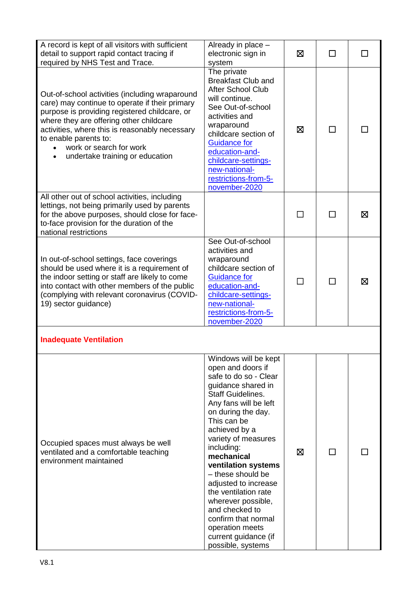| A record is kept of all visitors with sufficient<br>detail to support rapid contact tracing if<br>required by NHS Test and Trace.                                                                                                                                                                                                     | Already in place -<br>electronic sign in<br>system                                                                                                                                                                                                                                                                                                                                                                                                                                | ⊠ | $\mathsf{L}$ |   |
|---------------------------------------------------------------------------------------------------------------------------------------------------------------------------------------------------------------------------------------------------------------------------------------------------------------------------------------|-----------------------------------------------------------------------------------------------------------------------------------------------------------------------------------------------------------------------------------------------------------------------------------------------------------------------------------------------------------------------------------------------------------------------------------------------------------------------------------|---|--------------|---|
| Out-of-school activities (including wraparound<br>care) may continue to operate if their primary<br>purpose is providing registered childcare, or<br>where they are offering other childcare<br>activities, where this is reasonably necessary<br>to enable parents to:<br>work or search for work<br>undertake training or education | The private<br><b>Breakfast Club and</b><br><b>After School Club</b><br>will continue.<br>See Out-of-school<br>activities and<br>wraparound<br>childcare section of<br><b>Guidance for</b><br>education-and-<br>childcare-settings-<br>new-national-<br>restrictions-from-5-<br>november-2020                                                                                                                                                                                     | ⊠ |              |   |
| All other out of school activities, including<br>lettings, not being primarily used by parents<br>for the above purposes, should close for face-<br>to-face provision for the duration of the<br>national restrictions                                                                                                                |                                                                                                                                                                                                                                                                                                                                                                                                                                                                                   |   |              | ⊠ |
| In out-of-school settings, face coverings<br>should be used where it is a requirement of<br>the indoor setting or staff are likely to come<br>into contact with other members of the public<br>(complying with relevant coronavirus (COVID-<br>19) sector guidance)                                                                   | See Out-of-school<br>activities and<br>wraparound<br>childcare section of<br><b>Guidance for</b><br>education-and-<br>childcare-settings-<br>new-national-<br>restrictions-from-5-<br>november-2020                                                                                                                                                                                                                                                                               |   |              | ⊠ |
| <b>Inadequate Ventilation</b>                                                                                                                                                                                                                                                                                                         |                                                                                                                                                                                                                                                                                                                                                                                                                                                                                   |   |              |   |
| Occupied spaces must always be well<br>ventilated and a comfortable teaching<br>environment maintained                                                                                                                                                                                                                                | Windows will be kept<br>open and doors if<br>safe to do so - Clear<br>guidance shared in<br><b>Staff Guidelines.</b><br>Any fans will be left<br>on during the day.<br>This can be<br>achieved by a<br>variety of measures<br>including:<br>mechanical<br>ventilation systems<br>- these should be<br>adjusted to increase<br>the ventilation rate<br>wherever possible,<br>and checked to<br>confirm that normal<br>operation meets<br>current guidance (if<br>possible, systems | ⊠ | ΙI           |   |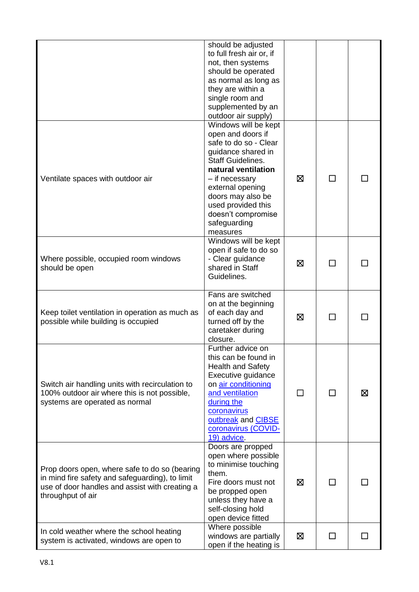|                                                                                                                                                                         | should be adjusted<br>to full fresh air or, if<br>not, then systems<br>should be operated<br>as normal as long as<br>they are within a<br>single room and<br>supplemented by an<br>outdoor air supply)                                                                         |   |              |   |
|-------------------------------------------------------------------------------------------------------------------------------------------------------------------------|--------------------------------------------------------------------------------------------------------------------------------------------------------------------------------------------------------------------------------------------------------------------------------|---|--------------|---|
| Ventilate spaces with outdoor air                                                                                                                                       | Windows will be kept<br>open and doors if<br>safe to do so - Clear<br>guidance shared in<br><b>Staff Guidelines.</b><br>natural ventilation<br>- if necessary<br>external opening<br>doors may also be<br>used provided this<br>doesn't compromise<br>safeguarding<br>measures | ⊠ | $\mathbf{I}$ |   |
| Where possible, occupied room windows<br>should be open                                                                                                                 | Windows will be kept<br>open if safe to do so<br>- Clear guidance<br>shared in Staff<br>Guidelines.                                                                                                                                                                            | ⊠ | П            |   |
| Keep toilet ventilation in operation as much as<br>possible while building is occupied                                                                                  | Fans are switched<br>on at the beginning<br>of each day and<br>turned off by the<br>caretaker during<br>closure.                                                                                                                                                               | ⊠ |              |   |
| Switch air handling units with recirculation to<br>100% outdoor air where this is not possible,<br>systems are operated as normal                                       | Further advice on<br>this can be found in<br><b>Health and Safety</b><br>Executive guidance<br>on air conditioning<br>and ventilation<br>during the<br>coronavirus<br>outbreak and CIBSE<br>coronavirus (COVID-<br>19) advice.                                                 |   | П            | ⊠ |
| Prop doors open, where safe to do so (bearing<br>in mind fire safety and safeguarding), to limit<br>use of door handles and assist with creating a<br>throughput of air | Doors are propped<br>open where possible<br>to minimise touching<br>them.<br>Fire doors must not<br>be propped open<br>unless they have a<br>self-closing hold<br>open device fitted                                                                                           | ⊠ |              |   |
| In cold weather where the school heating<br>system is activated, windows are open to                                                                                    | Where possible<br>windows are partially<br>open if the heating is                                                                                                                                                                                                              | ⊠ |              |   |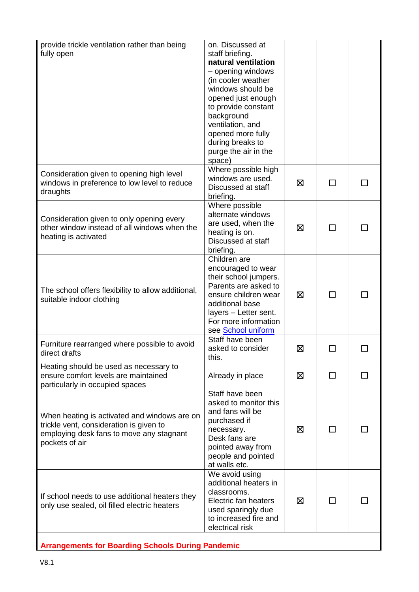| provide trickle ventilation rather than being<br>fully open                                                                                           | on. Discussed at<br>staff briefing.<br>natural ventilation<br>- opening windows<br>(in cooler weather<br>windows should be<br>opened just enough<br>to provide constant<br>background<br>ventilation, and<br>opened more fully<br>during breaks to<br>purge the air in the<br>space) |   |        |  |
|-------------------------------------------------------------------------------------------------------------------------------------------------------|--------------------------------------------------------------------------------------------------------------------------------------------------------------------------------------------------------------------------------------------------------------------------------------|---|--------|--|
| Consideration given to opening high level<br>windows in preference to low level to reduce<br>draughts                                                 | Where possible high<br>windows are used.<br>Discussed at staff<br>briefing.                                                                                                                                                                                                          | ⊠ | ΙI     |  |
| Consideration given to only opening every<br>other window instead of all windows when the<br>heating is activated                                     | Where possible<br>alternate windows<br>are used, when the<br>heating is on.<br>Discussed at staff<br>briefing.                                                                                                                                                                       | ⊠ |        |  |
| The school offers flexibility to allow additional,<br>suitable indoor clothing                                                                        | Children are<br>encouraged to wear<br>their school jumpers.<br>Parents are asked to<br>ensure children wear<br>additional base<br>layers - Letter sent.<br>For more information<br>see School uniform                                                                                | ⊠ | $\Box$ |  |
| Furniture rearranged where possible to avoid<br>direct drafts                                                                                         | Staff have been<br>asked to consider<br>this.                                                                                                                                                                                                                                        | 区 |        |  |
| Heating should be used as necessary to<br>ensure comfort levels are maintained<br>particularly in occupied spaces                                     | Already in place                                                                                                                                                                                                                                                                     | ⊠ |        |  |
| When heating is activated and windows are on<br>trickle vent, consideration is given to<br>employing desk fans to move any stagnant<br>pockets of air | Staff have been<br>asked to monitor this<br>and fans will be<br>purchased if<br>necessary.<br>Desk fans are<br>pointed away from<br>people and pointed<br>at walls etc.                                                                                                              | ⊠ | ΙI     |  |
| If school needs to use additional heaters they<br>only use sealed, oil filled electric heaters                                                        | We avoid using<br>additional heaters in<br>classrooms.<br>Electric fan heaters<br>used sparingly due<br>to increased fire and<br>electrical risk                                                                                                                                     | ⊠ | ΙI     |  |
| <b>Arrangements for Boarding Schools During Pandemic</b>                                                                                              |                                                                                                                                                                                                                                                                                      |   |        |  |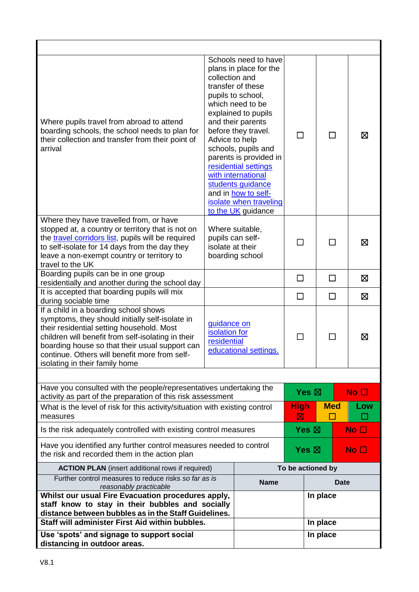| Where pupils travel from abroad to attend<br>boarding schools, the school needs to plan for<br>their collection and transfer from their point of<br>arrival                                                                                                                                                                                              | collection and<br>Advice to help                                     | Schools need to have<br>plans in place for the<br>transfer of these<br>pupils to school,<br>which need to be<br>explained to pupils<br>and their parents<br>before they travel.<br>schools, pupils and<br>parents is provided in<br>residential settings<br>with international<br>students guidance<br>and in how to self-<br>isolate when traveling<br>to the UK guidance | П                                                  | $\mathsf{L}$                  |  | 区                   |
|----------------------------------------------------------------------------------------------------------------------------------------------------------------------------------------------------------------------------------------------------------------------------------------------------------------------------------------------------------|----------------------------------------------------------------------|----------------------------------------------------------------------------------------------------------------------------------------------------------------------------------------------------------------------------------------------------------------------------------------------------------------------------------------------------------------------------|----------------------------------------------------|-------------------------------|--|---------------------|
| Where they have travelled from, or have<br>stopped at, a country or territory that is not on<br>the travel corridors list, pupils will be required<br>to self-isolate for 14 days from the day they<br>leave a non-exempt country or territory to<br>travel to the UK                                                                                    | pupils can self-<br>isolate at their                                 | Where suitable,<br>boarding school                                                                                                                                                                                                                                                                                                                                         | П                                                  |                               |  | Σ                   |
| Boarding pupils can be in one group<br>residentially and another during the school day                                                                                                                                                                                                                                                                   |                                                                      |                                                                                                                                                                                                                                                                                                                                                                            | $\Box$                                             | $\Box$                        |  | ⊠                   |
| It is accepted that boarding pupils will mix                                                                                                                                                                                                                                                                                                             |                                                                      |                                                                                                                                                                                                                                                                                                                                                                            | $\Box$                                             | $\Box$                        |  | Σ                   |
| during sociable time<br>If a child in a boarding school shows<br>symptoms, they should initially self-isolate in<br>their residential setting household. Most<br>children will benefit from self-isolating in their<br>boarding house so that their usual support can<br>continue. Others will benefit more from self-<br>isolating in their family home | guidance on<br>isolation for<br>residential<br>educational settings. |                                                                                                                                                                                                                                                                                                                                                                            | $\blacksquare$                                     |                               |  | ⊠                   |
|                                                                                                                                                                                                                                                                                                                                                          |                                                                      |                                                                                                                                                                                                                                                                                                                                                                            |                                                    |                               |  |                     |
| Have you consulted with the people/representatives undertaking the<br>activity as part of the preparation of this risk assessment<br>What is the level of risk for this activity/situation with existing control<br>measures                                                                                                                             |                                                                      |                                                                                                                                                                                                                                                                                                                                                                            |                                                    | Yes $\boxtimes$<br><b>Med</b> |  | No $\square$<br>Low |
| Is the risk adequately controlled with existing control measures                                                                                                                                                                                                                                                                                         |                                                                      |                                                                                                                                                                                                                                                                                                                                                                            |                                                    | Yes $\boxtimes$               |  | No $\square$        |
| Have you identified any further control measures needed to control<br>the risk and recorded them in the action plan                                                                                                                                                                                                                                      |                                                                      |                                                                                                                                                                                                                                                                                                                                                                            | Yes $\boxtimes$<br>$\overline{\mathsf{No}}$ $\Box$ |                               |  |                     |
| <b>ACTION PLAN</b> (insert additional rows if required)                                                                                                                                                                                                                                                                                                  | To be actioned by                                                    |                                                                                                                                                                                                                                                                                                                                                                            |                                                    |                               |  |                     |
| Further control measures to reduce risks so far as is<br>reasonably practicable                                                                                                                                                                                                                                                                          | <b>Name</b><br><b>Date</b>                                           |                                                                                                                                                                                                                                                                                                                                                                            |                                                    |                               |  |                     |
| Whilst our usual Fire Evacuation procedures apply,<br>staff know to stay in their bubbles and socially<br>distance between bubbles as in the Staff Guidelines.                                                                                                                                                                                           |                                                                      |                                                                                                                                                                                                                                                                                                                                                                            |                                                    | In place                      |  |                     |
| Staff will administer First Aid within bubbles.                                                                                                                                                                                                                                                                                                          |                                                                      | In place                                                                                                                                                                                                                                                                                                                                                                   |                                                    |                               |  |                     |
| Use 'spots' and signage to support social<br>distancing in outdoor areas.                                                                                                                                                                                                                                                                                |                                                                      |                                                                                                                                                                                                                                                                                                                                                                            |                                                    | In place                      |  |                     |